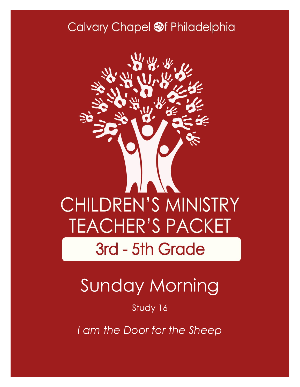### Calvary Chapel @f Philadelphia



# Sunday Morning

#### Study 16

*I am the Door for the Sheep*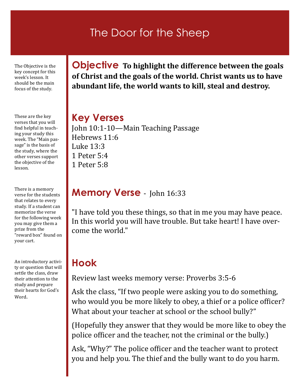#### The Door for the Sheep

The Objective is the key concept for this week's lesson. It should be the main focus of the study.

These are the key verses that you will find helpful in teaching your study this week. The "Main passage" is the basis of the study, where the other verses support the objective of the lesson.

There is a memory verse for the students that relates to every study. If a student can memorize the verse for the following week you may give them a prize from the "reward box" found on your cart.

An introductory activity or question that will settle the class, draw their attention to the study and prepare their hearts for God's Word.

**Objective To highlight the difference between the goals of Christ and the goals of the world. Christ wants us to have abundant life, the world wants to kill, steal and destroy.**

#### **Key Verses**

John 10:1-10—Main Teaching Passage Hebrews 11:6 Luke 13:3 1 Peter 5:4 1 Peter 5:8

#### **Memory Verse** - John 16:33

"I have told you these things, so that in me you may have peace. In this world you will have trouble. But take heart! I have overcome the world."

### **Hook**

Review last weeks memory verse: Proverbs 3:5-6

Ask the class, "If two people were asking you to do something, who would you be more likely to obey, a thief or a police officer? What about your teacher at school or the school bully?"

(Hopefully they answer that they would be more like to obey the police officer and the teacher, not the criminal or the bully.)

Ask, "Why?" The police officer and the teacher want to protect you and help you. The thief and the bully want to do you harm.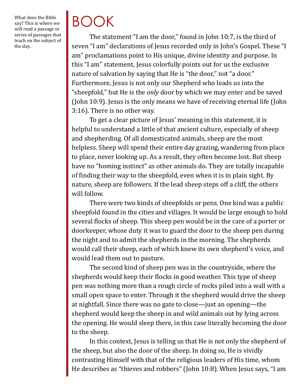What does the Bible say? This is where we will read a passage or series of passages that teach on the subject of the day.

# BOOK

The statement "I am the door," found in [John 10:7,](http://biblia.com/bible/esv/John%2010.7) is the third of seven "I am" declarations of Jesus recorded only in John's Gospel. These "I am" proclamations point to His unique, divine identity and purpose. In this "I am" statement, Jesus colorfully points out for us the exclusive nature of salvation by saying that He is "the door," not "a door." Furthermore, Jesus is not only our Shepherd who leads us into the "sheepfold," but He is the *only* door by which we may enter and be saved [\(John 10:9\).](http://biblia.com/bible/esv/John%2010.9) Jesus is the only means we have of receiving eternal life ([John](http://biblia.com/bible/esv/John%203.16)  [3:16\)](http://biblia.com/bible/esv/John%203.16). There is no other way.

To get a clear picture of Jesus' meaning in this statement, it is helpful to understand a little of that ancient culture, especially of sheep and shepherding. Of all domesticated animals, sheep are the most helpless. Sheep will spend their entire day grazing, wandering from place to place, never looking up. As a result, they often become lost. But sheep have no "homing instinct" as other animals do. They are totally incapable of finding their way to the sheepfold, even when it is in plain sight. By nature, sheep are followers. If the lead sheep steps off a cliff, the others will follow.

There were two kinds of sheepfolds or pens. One kind was a public sheepfold found in the cities and villages. It would be large enough to hold several flocks of sheep. This sheep pen would be in the care of a porter or doorkeeper, whose duty it was to guard the door to the sheep pen during the night and to admit the shepherds in the morning. The shepherds would call their sheep, each of which knew its own shepherd's voice, and would lead them out to pasture.

The second kind of sheep pen was in the countryside, where the shepherds would keep their flocks in good weather. This type of sheep pen was nothing more than a rough circle of rocks piled into a wall with a small open space to enter. Through it the shepherd would drive the sheep at nightfall. Since there was no gate to close—just an opening—the shepherd would keep the sheep in and wild animals out by lying across the opening. He would sleep there, in this case literally becoming the door to the sheep.

In this context, Jesus is telling us that He is not only the shepherd of the sheep, but also the door of the sheep. In doing so, He is vividly contrasting Himself with that of the religious leaders of His time, whom He describes as "thieves and robbers" (John 10:8). When Jesus says, "I am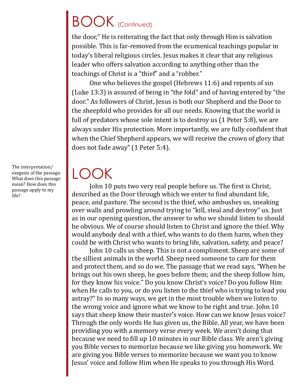### BOOK (Continued)

the door," He is reiterating the fact that only through Him is salvation possible. This is far-removed from the ecumenical teachings popular in today's liberal religious circles. Jesus makes it clear that any religious leader who offers salvation according to anything other than the teachings of Christ is a "thief" and a "robber."

One who believes the gospel (Hebrews 11:6) and repents of sin (Luke 13:3) is assured of being in "the fold" and of having entered by "the door." As followers of Christ, Jesus is both our Shepherd and the Door to the sheepfold who provides for all our needs. Knowing that the world is full of predators whose sole intent is to destroy us (1 Peter 5:8), we are always under His protection. More importantly, we are fully confident that when the Chief Shepherd appears, we will receive the crown of glory that does not fade away" (1 Peter 5:4).

LOOK

John 10 puts two very real people before us. The first is Christ, described as the Door through which we enter to find abundant life, peace, and pasture. The second is the thief, who ambushes us, sneaking over walls and prowling around trying to "kill, steal and destroy" us. Just as in our opening question, the answer to who we should listen to should be obvious. We of course should listen to Christ and ignore the thief. Why would anybody deal with a thief, who wants to do them harm, when they could be with Christ who wants to bring life, salvation, safety, and peace?

John 10 calls us sheep. This is not a compliment. Sheep are some of the silliest animals in the world. Sheep need someone to care for them and protect them, and so do we. The passage that we read says, "When he brings out his own sheep, he goes before them; and the sheep follow him, for they know his voice." Do you know Christ's voice? Do you follow Him when He calls to you, or do you listen to the thief who is trying to lead you astray?" In so many ways, we get in the most trouble when we listen to the wrong voice and ignore what we know to be right and true. John 10 says that sheep know their master's voice. How can we know Jesus voice? Through the only words He has given us, the Bible. All year, we have been providing you with a memory verse every week. We aren't doing that because we need to fill up 10 minutes in our Bible class. We aren't giving you Bible verses to memorize because we like giving you homework. We are giving you Bible verses to memorize because we want you to know Jesus' voice and follow Him when He speaks to you through His Word.

The interpretation/ exegesis of the passage. What does this passage mean? How does this passage apply to my life?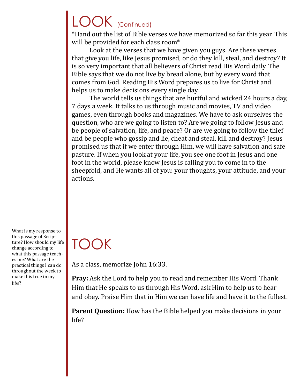# LOOK (Continued)

\*Hand out the list of Bible verses we have memorized so far this year. This will be provided for each class room\*

Look at the verses that we have given you guys. Are these verses that give you life, like Jesus promised, or do they kill, steal, and destroy? It is so very important that all believers of Christ read His Word daily. The Bible says that we do not live by bread alone, but by every word that comes from God. Reading His Word prepares us to live for Christ and helps us to make decisions every single day.

The world tells us things that are hurtful and wicked 24 hours a day, 7 days a week. It talks to us through music and movies, TV and video games, even through books and magazines. We have to ask ourselves the question, who are we going to listen to? Are we going to follow Jesus and be people of salvation, life, and peace? Or are we going to follow the thief and be people who gossip and lie, cheat and steal, kill and destroy? Jesus promised us that if we enter through Him, we will have salvation and safe pasture. If when you look at your life, you see one foot in Jesus and one foot in the world, please know Jesus is calling you to come in to the sheepfold, and He wants all of you: your thoughts, your attitude, and your actions.

What is my response to this passage of Scripture? How should my life change according to what this passage teaches me? What are the practical things I can do throughout the week to make this true in my life?

### TOOK

As a class, memorize John 16:33.

**Pray:** Ask the Lord to help you to read and remember His Word. Thank Him that He speaks to us through His Word, ask Him to help us to hear and obey. Praise Him that in Him we can have life and have it to the fullest.

**Parent Question:** How has the Bible helped you make decisions in your life?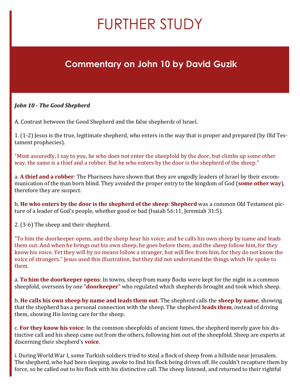# FURTHER STUDY

#### **Commentary on John 10 by David Guzik**

#### *John 10 - The Good Shepherd*

A. Contrast between the Good Shepherd and the false shepherds of Israel.

1. (1-2) Jesus is the true, legitimate shepherd, who enters in the way that is proper and prepared (by Old Testament prophecies).

"Most assuredly, I say to you, he who does not enter the sheepfold by the door, but climbs up some other way, the same is a thief and a robber. But he who enters by the door is the shepherd of the sheep."

a. **A thief and a robber**: The Pharisees have shown that they are ungodly leaders of Israel by their excommunication of the man born blind. They avoided the proper entry to the kingdom of God (**some other way**), therefore they are suspect.

b. **He who enters by the door is the shepherd of the sheep**: **Shepherd** was a common Old Testament picture of a leader of God's people, whether good or bad (Isaiah 56:11, Jeremiah 31:5).

2. (3-6) The sheep and their shepherd.

"To him the doorkeeper opens, and the sheep hear his voice; and he calls his own sheep by name and leads them out. And when he brings out his own sheep, he goes before them; and the sheep follow him, for they know his voice. Yet they will by no means follow a stranger, but will flee from him, for they do not know the voice of strangers." Jesus used this illustration, but they did not understand the things which He spoke to them.

a. **To him the doorkeeper opens**: In towns, sheep from many flocks were kept for the night in a common sheepfold, overseen by one "**doorkeeper**" who regulated which shepherds brought and took which sheep.

b. **He calls his own sheep by name and leads them out**: The shepherd calls the **sheep by name**, showing that the shepherd has a personal connection with the sheep. The shepherd **leads them**, instead of driving them, showing His loving care for the sheep.

c. **For they know his voice**: In the common sheepfolds of ancient times, the shepherd merely gave his distinctive call and his sheep came out from the others, following him out of the sheepfold. Sheep are experts at discerning their shepherd's **voice**.

i. During World War I, some Turkish soldiers tried to steal a flock of sheep from a hillside near Jerusalem. The shepherd, who had been sleeping, awoke to find his flock being driven off. He couldn't recapture them by force, so he called out to his flock with his distinctive call. The sheep listened, and returned to their rightful